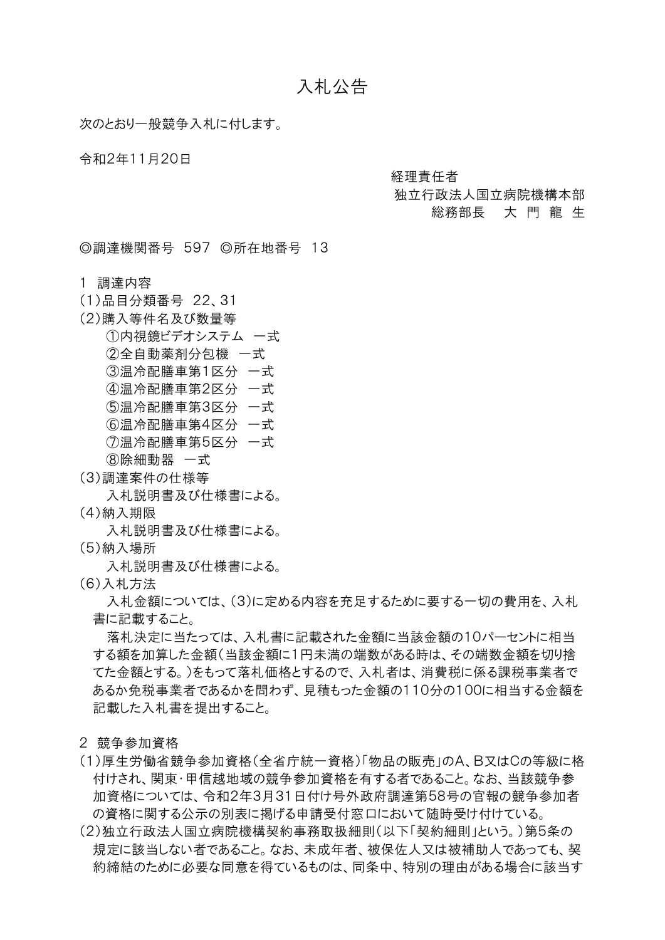## 入札公告

次のとおり一般競争入札に付します。

令和2年11月20日

経理責任者

## 独立行政法人国立病院機構本部

総務部長 大 門 龍 生

◎調達機関番号 597 ◎所在地番号 13

1 調達内容

- (1)品目分類番号 22、31
- (2)購入等件名及び数量等

①内視鏡ビデオシステム 一式

②全自動薬剤分包機 一式

③温冷配膳車第1区分 一式

- ④温冷配膳車第2区分 一式
- ⑤温冷配膳車第3区分 一式
- ⑥温冷配膳車第4区分 一式
- ⑦温冷配膳車第5区分 一式
- ⑧除細動器 一式
- (3)調達案件の仕様等

入札説明書及び仕様書による。

(4)納入期限

入札説明書及び仕様書による。

- (5)納入場所
	- 入札説明書及び仕様書による。
- (6)入札方法

入札金額については、(3)に定める内容を充足するために要する一切の費用を、入札 書に記載すること。

落札決定に当たっては、入札書に記載された金額に当該金額の10パーセントに相当 する額を加算した金額(当該金額に1円未満の端数がある時は、その端数金額を切り捨 てた金額とする。)をもって落札価格とするので、入札者は、消費税に係る課税事業者で あるか免税事業者であるかを問わず、見積もった金額の110分の100に相当する金額を 記載した入札書を提出すること。

- 2 競争参加資格
- (1)厚生労働省競争参加資格(全省庁統一資格)「物品の販売」のA、B又はCの等級に格 付けされ、関東・甲信越地域の競争参加資格を有する者であること。なお、当該競争参 加資格については、令和2年3月31日付け号外政府調達第58号の官報の競争参加者 の資格に関する公示の別表に掲げる申請受付窓口において随時受け付けている。
- (2)独立行政法人国立病院機構契約事務取扱細則(以下「契約細則」という。)第5条の 規定に該当しない者であること。なお、未成年者、被保佐人又は被補助人であっても、契 約締結のために必要な同意を得ているものは、同条中、特別の理由がある場合に該当す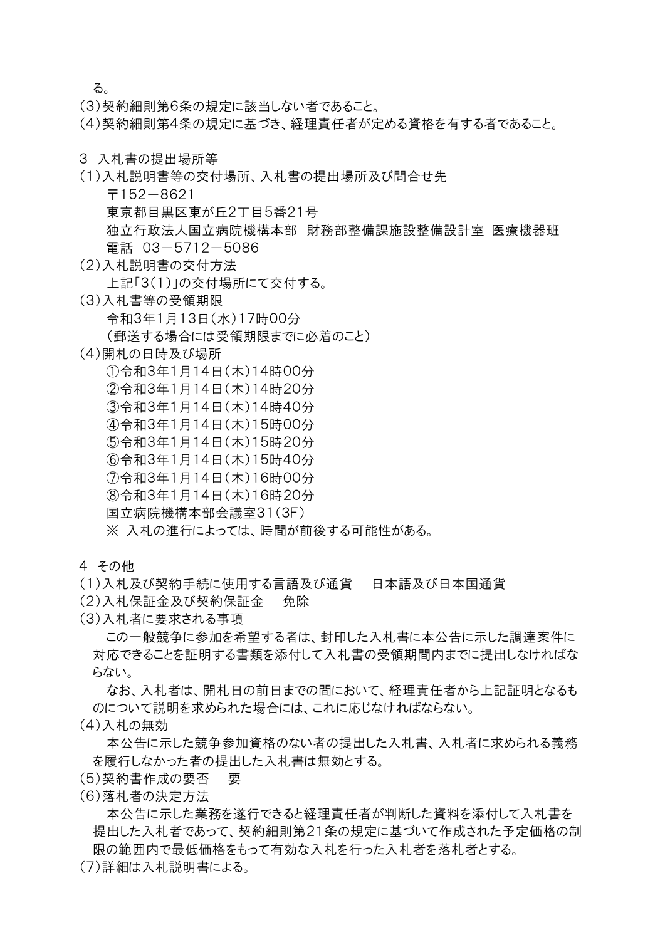る。

(3)契約細則第6条の規定に該当しない者であること。

(4)契約細則第4条の規定に基づき、経理責任者が定める資格を有する者であること。

- 3 入札書の提出場所等
- (1)入札説明書等の交付場所、入札書の提出場所及び問合せ先
	- 〒152-8621

東京都目黒区東が丘2丁目5番21号

- 独立行政法人国立病院機構本部 財務部整備課施設整備設計室 医療機器班 電話 03-5712-5086
- (2)入札説明書の交付方法

上記「3(1)」の交付場所にて交付する。

- (3)入札書等の受領期限 令和3年1月13日(水)17時00分 (郵送する場合には受領期限までに必着のこと)
- (4)開札の日時及び場所
	- ①令和3年1月14日(木)14時00分
	- ②令和3年1月14日(木)14時20分
	- ③令和3年1月14日(木)14時40分
	- ④令和3年1月14日(木)15時00分
	- ⑤令和3年1月14日(木)15時20分
	- ⑥令和3年1月14日(木)15時40分
	- ⑦令和3年1月14日(木)16時00分
	- ⑧令和3年1月14日(木)16時20分
	- 国立病院機構本部会議室31(3F)

※ 入札の進行によっては、時間が前後する可能性がある。

- 4 その他
- (1)入札及び契約手続に使用する言語及び通貨 日本語及び日本国通貨
- (2)入札保証金及び契約保証金 免除
- (3)入札者に要求される事項

この一般競争に参加を希望する者は、封印した入札書に本公告に示した調達案件に 対応できることを証明する書類を添付して入札書の受領期間内までに提出しなければな らない。

なお、入札者は、開札日の前日までの間において、経理責任者から上記証明となるも のについて説明を求められた場合には、これに応じなければならない。

(4)入札の無効

本公告に示した競争参加資格のない者の提出した入札書、入札者に求められる義務 を履行しなかった者の提出した入札書は無効とする。

- (5)契約書作成の要否 要
- (6)落札者の決定方法

本公告に示した業務を遂行できると経理責任者が判断した資料を添付して入札書を 提出した入札者であって、契約細則第21条の規定に基づいて作成された予定価格の制 限の範囲内で最低価格をもって有効な入札を行った入札者を落札者とする。

(7)詳細は入札説明書による。